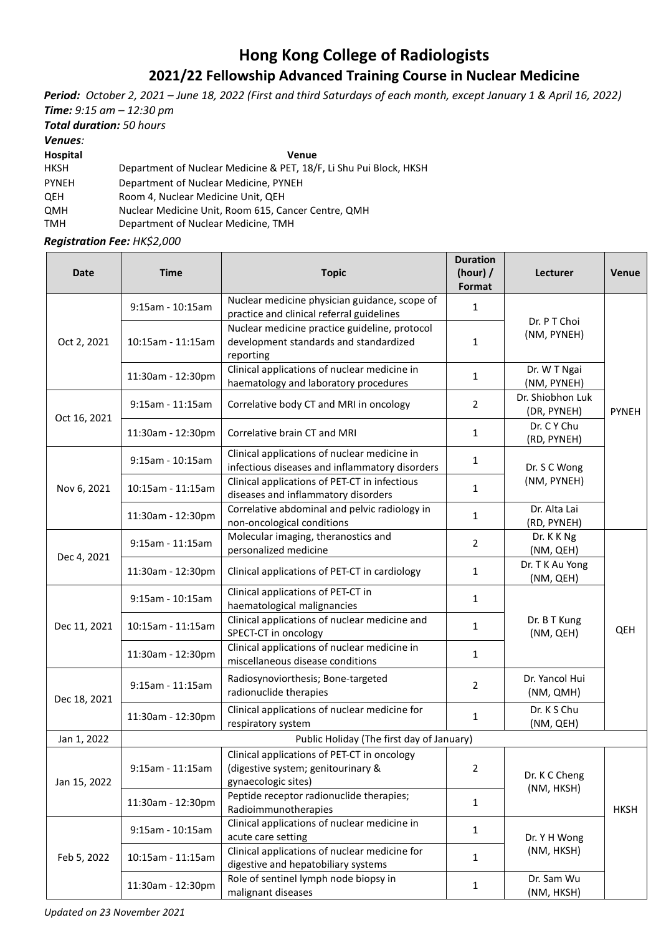## **Hong Kong College of Radiologists 2021/22 Fellowship Advanced Training Course in Nuclear Medicine**

*Period: October 2, 2021 – June 18, 2022 (First and third Saturdays of each month, except January 1 & April 16, 2022) Time: 9:15 am – 12:30 pm*

*Total duration: 50 hours*

*Venues:* 

**Hospital Venue**

HKSH Department of Nuclear Medicine & PET, 18/F, Li Shu Pui Block, HKSH

PYNEH Department of Nuclear Medicine, PYNEH

QEH Room 4, Nuclear Medicine Unit, QEH

QMH Nuclear Medicine Unit, Room 615, Cancer Centre, QMH

TMH Department of Nuclear Medicine, TMH

*Registration Fee: HK\$2,000*

| <b>Date</b>  | Time                                      | <b>Topic</b>                                                                                             | <b>Duration</b><br>(hour) $/$<br>Format | Lecturer                        | Venue        |  |  |
|--------------|-------------------------------------------|----------------------------------------------------------------------------------------------------------|-----------------------------------------|---------------------------------|--------------|--|--|
| Oct 2, 2021  | 9:15am - 10:15am                          | Nuclear medicine physician guidance, scope of<br>practice and clinical referral guidelines               | 1                                       | Dr. P T Choi<br>(NM, PYNEH)     | <b>PYNEH</b> |  |  |
|              | 10:15am - 11:15am                         | Nuclear medicine practice guideline, protocol<br>development standards and standardized<br>reporting     | $\mathbf{1}$                            |                                 |              |  |  |
|              | 11:30am - 12:30pm                         | Clinical applications of nuclear medicine in<br>haematology and laboratory procedures                    | 1                                       | Dr. W T Ngai<br>(NM, PYNEH)     |              |  |  |
| Oct 16, 2021 | $9:15$ am - 11:15am                       | Correlative body CT and MRI in oncology                                                                  | $\overline{2}$                          | Dr. Shiobhon Luk<br>(DR, PYNEH) |              |  |  |
|              | 11:30am - 12:30pm                         | Correlative brain CT and MRI                                                                             | 1                                       | Dr. C Y Chu<br>(RD, PYNEH)      |              |  |  |
| Nov 6, 2021  | 9:15am - 10:15am                          | Clinical applications of nuclear medicine in<br>infectious diseases and inflammatory disorders           | $\mathbf{1}$                            | Dr. S C Wong<br>(NM, PYNEH)     |              |  |  |
|              | 10:15am - 11:15am                         | Clinical applications of PET-CT in infectious<br>diseases and inflammatory disorders                     | $\mathbf{1}$                            |                                 |              |  |  |
|              | 11:30am - 12:30pm                         | Correlative abdominal and pelvic radiology in<br>non-oncological conditions                              | 1                                       | Dr. Alta Lai<br>(RD, PYNEH)     |              |  |  |
| Dec 4, 2021  | $9:15$ am - 11:15am                       | Molecular imaging, theranostics and<br>personalized medicine                                             | $\overline{2}$                          | Dr. K K Ng<br>(NM, QEH)         | QEH          |  |  |
|              | 11:30am - 12:30pm                         | Clinical applications of PET-CT in cardiology                                                            | 1                                       | Dr. T K Au Yong<br>(NM, QEH)    |              |  |  |
| Dec 11, 2021 | 9:15am - 10:15am                          | Clinical applications of PET-CT in<br>haematological malignancies                                        | $\mathbf{1}$                            | Dr. B T Kung<br>(NM, QEH)       |              |  |  |
|              | 10:15am - 11:15am                         | Clinical applications of nuclear medicine and<br>SPECT-CT in oncology                                    | 1                                       |                                 |              |  |  |
|              | 11:30am - 12:30pm                         | Clinical applications of nuclear medicine in<br>miscellaneous disease conditions                         | $\mathbf{1}$                            |                                 |              |  |  |
| Dec 18, 2021 | 9:15am - 11:15am                          | Radiosynoviorthesis; Bone-targeted<br>radionuclide therapies                                             | $\overline{2}$                          | Dr. Yancol Hui<br>(NM, QMH)     |              |  |  |
|              | 11:30am - 12:30pm                         | Clinical applications of nuclear medicine for<br>respiratory system                                      | 1                                       | Dr. K S Chu<br>(NM, QEH)        |              |  |  |
| Jan 1, 2022  | Public Holiday (The first day of January) |                                                                                                          |                                         |                                 |              |  |  |
| Jan 15, 2022 | 9:15am - 11:15am                          | Clinical applications of PET-CT in oncology<br>(digestive system; genitourinary &<br>gynaecologic sites) | 2                                       | Dr. K C Cheng<br>(NM, HKSH)     | <b>HKSH</b>  |  |  |
|              | 11:30am - 12:30pm                         | Peptide receptor radionuclide therapies;<br>Radioimmunotherapies                                         | $\mathbf{1}$                            |                                 |              |  |  |
| Feb 5, 2022  | 9:15am - 10:15am                          | Clinical applications of nuclear medicine in<br>acute care setting                                       | 1                                       | Dr. Y H Wong<br>(NM, HKSH)      |              |  |  |
|              | 10:15am - 11:15am                         | Clinical applications of nuclear medicine for<br>digestive and hepatobiliary systems                     | $\mathbf{1}$                            |                                 |              |  |  |
|              | 11:30am - 12:30pm                         | Role of sentinel lymph node biopsy in<br>malignant diseases                                              | $\mathbf{1}$                            | Dr. Sam Wu<br>(NM, HKSH)        |              |  |  |